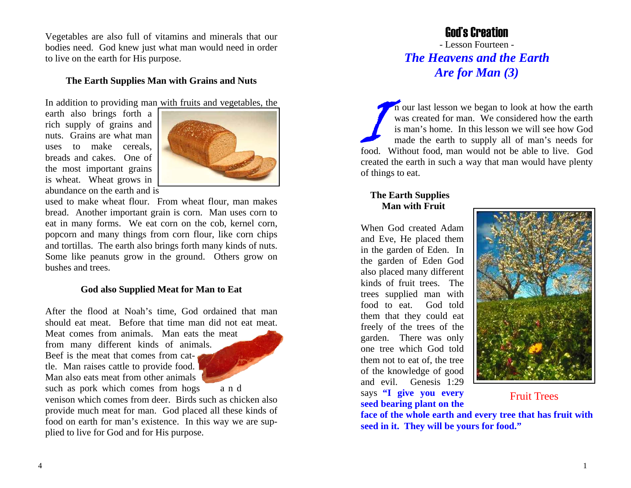Vegetables are also full of vitamins and minerals that our bodies need. God knew just what man would need in order to live on the earth for His purpose.

## **The Earth Supplies Man with Grains and Nuts**

In addition to providing man with fruits and vegetables, the

earth also brings forth a rich supply of grains and nuts. Grains are what man uses to make cereals, breads and cakes. One of the most important grains is wheat. Wheat grows in abundance on the earth and is



used to make wheat flour. From wheat flour, man makes bread. Another important grain is corn. Man uses corn to eat in many forms. We eat corn on the cob, kernel corn, popcorn and many things from corn flour, like corn chips and tortillas. The earth also brings forth many kinds of nuts. Some like peanuts grow in the ground. Others grow on bushes and trees.

#### **God also Supplied Meat for Man to Eat**

After the flood at Noah's time, God ordained that man should eat meat. Before that time man did not eat meat.

Meat comes from animals. Man eats the meat from many different kinds of animals. Beef is the meat that comes from cattle. Man raises cattle to provide food. Man also eats meat from other animals such as pork which comes from hogs a n d



venison which comes from deer. Birds such as chicken also provide much meat for man. God placed all these kinds of food on earth for man's existence. In this way we are supplied to live for God and for His purpose.

## God's Creation

- Lesson Fourteen - *The Heavens and the Earth Are for Man (3)* 

In our last lesson we began to look at how the earth was created for man. We considered how the earth is man's home. In this lesson we will see how God made the earth to supply all of man's needs for food. Without food, man would not be able to live. God created the earth in such a way that man would have plenty of things to eat.

## **The Earth Supplies Man with Fruit**

When God created Adam and Eve, He placed them in the garden of Eden. In the garden of Eden God also placed many different kinds of fruit trees. The trees supplied man with food to eat. God told them that they could eat freely of the trees of the garden. There was only one tree which God told them not to eat of, the tree of the knowledge of good and evil. Genesis 1:29 says **"I give you every seed bearing plant on the** 



## Fruit Trees

**face of the whole earth and every tree that has fruit with seed in it. They will be yours for food."**